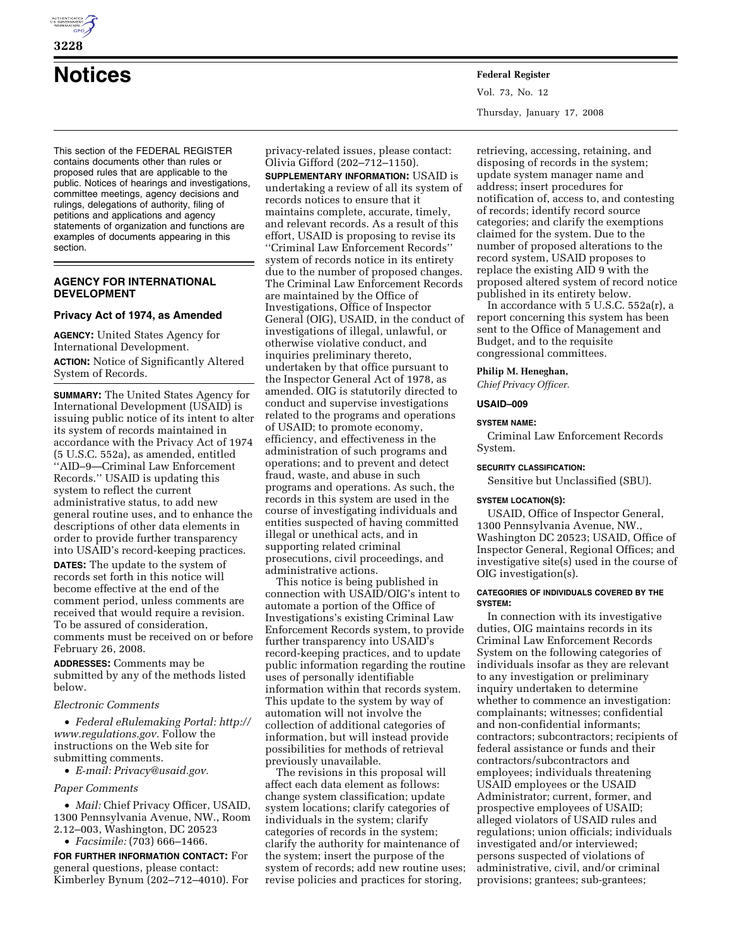

# **Notices Federal Register**

This section of the FEDERAL REGISTER contains documents other than rules or proposed rules that are applicable to the public. Notices of hearings and investigations, committee meetings, agency decisions and rulings, delegations of authority, filing of petitions and applications and agency statements of organization and functions are examples of documents appearing in this section.

# **AGENCY FOR INTERNATIONAL DEVELOPMENT**

## **Privacy Act of 1974, as Amended**

**AGENCY:** United States Agency for International Development.

**ACTION:** Notice of Significantly Altered System of Records.

**SUMMARY:** The United States Agency for International Development (USAID) is issuing public notice of its intent to alter its system of records maintained in accordance with the Privacy Act of 1974 (5 U.S.C. 552a), as amended, entitled ''AID–9—Criminal Law Enforcement Records.'' USAID is updating this system to reflect the current administrative status, to add new general routine uses, and to enhance the descriptions of other data elements in order to provide further transparency into USAID's record-keeping practices.

**DATES:** The update to the system of records set forth in this notice will become effective at the end of the comment period, unless comments are received that would require a revision. To be assured of consideration, comments must be received on or before February 26, 2008.

**ADDRESSES:** Comments may be submitted by any of the methods listed below.

# *Electronic Comments*

• *Federal eRulemaking Portal: http:// www.regulations.gov.* Follow the instructions on the Web site for submitting comments.

• *E-mail: Privacy@usaid.gov.* 

# *Paper Comments*

• *Mail:* Chief Privacy Officer, USAID, 1300 Pennsylvania Avenue, NW., Room 2.12–003, Washington, DC 20523

• *Facsimile:* (703) 666–1466.

**FOR FURTHER INFORMATION CONTACT:** For general questions, please contact: Kimberley Bynum (202–712–4010). For privacy-related issues, please contact: Olivia Gifford (202–712–1150).

**SUPPLEMENTARY INFORMATION:** USAID is undertaking a review of all its system of records notices to ensure that it maintains complete, accurate, timely, and relevant records. As a result of this effort, USAID is proposing to revise its ''Criminal Law Enforcement Records'' system of records notice in its entirety due to the number of proposed changes. The Criminal Law Enforcement Records are maintained by the Office of Investigations, Office of Inspector General (OIG), USAID, in the conduct of investigations of illegal, unlawful, or otherwise violative conduct, and inquiries preliminary thereto, undertaken by that office pursuant to the Inspector General Act of 1978, as amended. OIG is statutorily directed to conduct and supervise investigations related to the programs and operations of USAID; to promote economy, efficiency, and effectiveness in the administration of such programs and operations; and to prevent and detect fraud, waste, and abuse in such programs and operations. As such, the records in this system are used in the course of investigating individuals and entities suspected of having committed illegal or unethical acts, and in supporting related criminal prosecutions, civil proceedings, and administrative actions.

This notice is being published in connection with USAID/OIG's intent to automate a portion of the Office of Investigations's existing Criminal Law Enforcement Records system, to provide further transparency into USAID's record-keeping practices, and to update public information regarding the routine uses of personally identifiable information within that records system. This update to the system by way of automation will not involve the collection of additional categories of information, but will instead provide possibilities for methods of retrieval previously unavailable.

The revisions in this proposal will affect each data element as follows: change system classification; update system locations; clarify categories of individuals in the system; clarify categories of records in the system; clarify the authority for maintenance of the system; insert the purpose of the system of records; add new routine uses; revise policies and practices for storing,

Vol. 73, No. 12 Thursday, January 17, 2008

retrieving, accessing, retaining, and disposing of records in the system; update system manager name and address; insert procedures for notification of, access to, and contesting of records; identify record source categories; and clarify the exemptions claimed for the system. Due to the number of proposed alterations to the record system, USAID proposes to replace the existing AID 9 with the proposed altered system of record notice published in its entirety below.

In accordance with 5 U.S.C. 552a(r), a report concerning this system has been sent to the Office of Management and Budget, and to the requisite congressional committees.

#### **Philip M. Heneghan,**

*Chief Privacy Officer.* 

## **USAID–009**

## **SYSTEM NAME:**

Criminal Law Enforcement Records System.

## **SECURITY CLASSIFICATION:**

Sensitive but Unclassified (SBU).

#### **SYSTEM LOCATION(S):**

USAID, Office of Inspector General, 1300 Pennsylvania Avenue, NW., Washington DC 20523; USAID, Office of Inspector General, Regional Offices; and investigative site(s) used in the course of OIG investigation(s).

## **CATEGORIES OF INDIVIDUALS COVERED BY THE SYSTEM:**

In connection with its investigative duties, OIG maintains records in its Criminal Law Enforcement Records System on the following categories of individuals insofar as they are relevant to any investigation or preliminary inquiry undertaken to determine whether to commence an investigation: complainants; witnesses; confidential and non-confidential informants; contractors; subcontractors; recipients of federal assistance or funds and their contractors/subcontractors and employees; individuals threatening USAID employees or the USAID Administrator; current, former, and prospective employees of USAID; alleged violators of USAID rules and regulations; union officials; individuals investigated and/or interviewed; persons suspected of violations of administrative, civil, and/or criminal provisions; grantees; sub-grantees;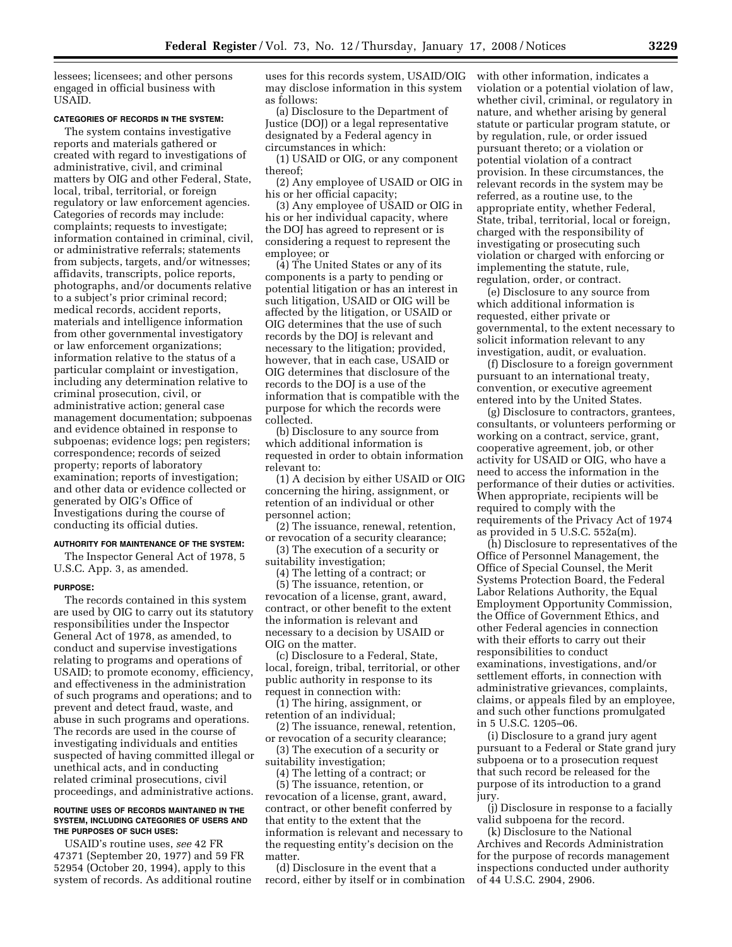lessees; licensees; and other persons engaged in official business with USAID.

## **CATEGORIES OF RECORDS IN THE SYSTEM:**

The system contains investigative reports and materials gathered or created with regard to investigations of administrative, civil, and criminal matters by OIG and other Federal, State, local, tribal, territorial, or foreign regulatory or law enforcement agencies. Categories of records may include: complaints; requests to investigate; information contained in criminal, civil, or administrative referrals; statements from subjects, targets, and/or witnesses; affidavits, transcripts, police reports, photographs, and/or documents relative to a subject's prior criminal record; medical records, accident reports, materials and intelligence information from other governmental investigatory or law enforcement organizations; information relative to the status of a particular complaint or investigation, including any determination relative to criminal prosecution, civil, or administrative action; general case management documentation; subpoenas and evidence obtained in response to subpoenas; evidence logs; pen registers; correspondence; records of seized property; reports of laboratory examination; reports of investigation; and other data or evidence collected or generated by OIG's Office of Investigations during the course of conducting its official duties.

## **AUTHORITY FOR MAINTENANCE OF THE SYSTEM:**

The Inspector General Act of 1978, 5 U.S.C. App. 3, as amended.

#### **PURPOSE:**

The records contained in this system are used by OIG to carry out its statutory responsibilities under the Inspector General Act of 1978, as amended, to conduct and supervise investigations relating to programs and operations of USAID; to promote economy, efficiency, and effectiveness in the administration of such programs and operations; and to prevent and detect fraud, waste, and abuse in such programs and operations. The records are used in the course of investigating individuals and entities suspected of having committed illegal or unethical acts, and in conducting related criminal prosecutions, civil proceedings, and administrative actions.

#### **ROUTINE USES OF RECORDS MAINTAINED IN THE SYSTEM, INCLUDING CATEGORIES OF USERS AND THE PURPOSES OF SUCH USES:**

USAID's routine uses, *see* 42 FR 47371 (September 20, 1977) and 59 FR 52954 (October 20, 1994), apply to this system of records. As additional routine uses for this records system, USAID/OIG may disclose information in this system as follows:

(a) Disclosure to the Department of Justice (DOJ) or a legal representative designated by a Federal agency in circumstances in which:

(1) USAID or OIG, or any component thereof;

(2) Any employee of USAID or OIG in his or her official capacity;

(3) Any employee of USAID or OIG in his or her individual capacity, where the DOJ has agreed to represent or is considering a request to represent the employee; or

(4) The United States or any of its components is a party to pending or potential litigation or has an interest in such litigation, USAID or OIG will be affected by the litigation, or USAID or OIG determines that the use of such records by the DOJ is relevant and necessary to the litigation; provided, however, that in each case, USAID or OIG determines that disclosure of the records to the DOJ is a use of the information that is compatible with the purpose for which the records were collected.

(b) Disclosure to any source from which additional information is requested in order to obtain information relevant to:

(1) A decision by either USAID or OIG concerning the hiring, assignment, or retention of an individual or other personnel action;

(2) The issuance, renewal, retention, or revocation of a security clearance;

(3) The execution of a security or suitability investigation;

(4) The letting of a contract; or

(5) The issuance, retention, or revocation of a license, grant, award, contract, or other benefit to the extent the information is relevant and necessary to a decision by USAID or OIG on the matter.

(c) Disclosure to a Federal, State, local, foreign, tribal, territorial, or other public authority in response to its request in connection with:

(1) The hiring, assignment, or retention of an individual;

(2) The issuance, renewal, retention, or revocation of a security clearance;

(3) The execution of a security or suitability investigation;

(4) The letting of a contract; or

(5) The issuance, retention, or revocation of a license, grant, award, contract, or other benefit conferred by that entity to the extent that the information is relevant and necessary to the requesting entity's decision on the matter.

(d) Disclosure in the event that a record, either by itself or in combination with other information, indicates a violation or a potential violation of law, whether civil, criminal, or regulatory in nature, and whether arising by general statute or particular program statute, or by regulation, rule, or order issued pursuant thereto; or a violation or potential violation of a contract provision. In these circumstances, the relevant records in the system may be referred, as a routine use, to the appropriate entity, whether Federal, State, tribal, territorial, local or foreign, charged with the responsibility of investigating or prosecuting such violation or charged with enforcing or implementing the statute, rule, regulation, order, or contract.

(e) Disclosure to any source from which additional information is requested, either private or governmental, to the extent necessary to solicit information relevant to any investigation, audit, or evaluation.

(f) Disclosure to a foreign government pursuant to an international treaty, convention, or executive agreement entered into by the United States.

(g) Disclosure to contractors, grantees, consultants, or volunteers performing or working on a contract, service, grant, cooperative agreement, job, or other activity for USAID or OIG, who have a need to access the information in the performance of their duties or activities. When appropriate, recipients will be required to comply with the requirements of the Privacy Act of 1974 as provided in 5 U.S.C. 552a(m).

(h) Disclosure to representatives of the Office of Personnel Management, the Office of Special Counsel, the Merit Systems Protection Board, the Federal Labor Relations Authority, the Equal Employment Opportunity Commission, the Office of Government Ethics, and other Federal agencies in connection with their efforts to carry out their responsibilities to conduct examinations, investigations, and/or settlement efforts, in connection with administrative grievances, complaints, claims, or appeals filed by an employee, and such other functions promulgated in 5 U.S.C. 1205–06.

(i) Disclosure to a grand jury agent pursuant to a Federal or State grand jury subpoena or to a prosecution request that such record be released for the purpose of its introduction to a grand jury.

(j) Disclosure in response to a facially valid subpoena for the record.

(k) Disclosure to the National Archives and Records Administration for the purpose of records management inspections conducted under authority of 44 U.S.C. 2904, 2906.